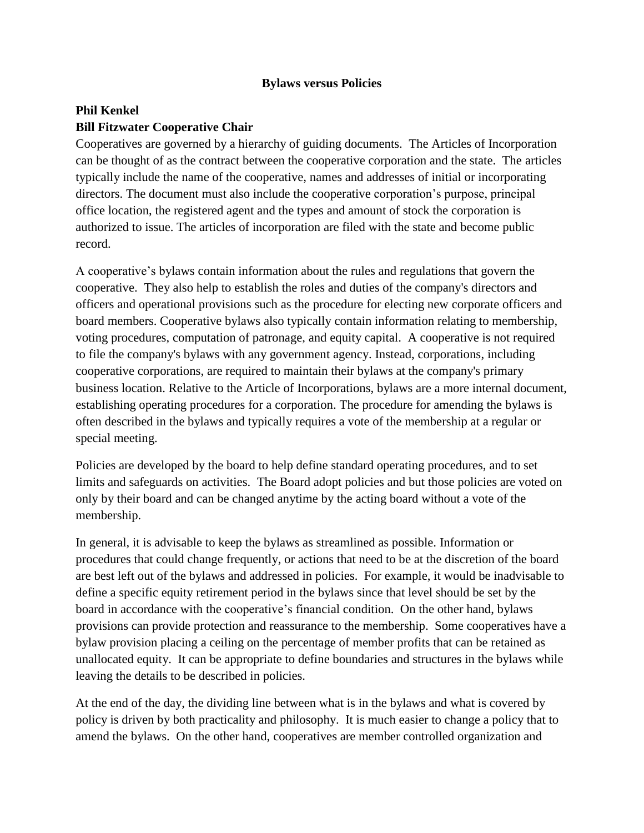## **Bylaws versus Policies**

## **Phil Kenkel Bill Fitzwater Cooperative Chair**

Cooperatives are governed by a hierarchy of guiding documents. The Articles of Incorporation can be thought of as the contract between the cooperative corporation and the state. The articles typically include the name of the cooperative, names and addresses of initial or incorporating directors. The document must also include the cooperative corporation's purpose, principal office location, the registered agent and the types and amount of stock the corporation is authorized to issue. The articles of incorporation are filed with the state and become public record.

A cooperative's bylaws contain information about the rules and regulations that govern the cooperative. They also help to establish the roles and duties of the company's directors and officers and operational provisions such as the procedure for electing new corporate officers and board members. Cooperative bylaws also typically contain information relating to membership, voting procedures, computation of patronage, and equity capital. A cooperative is not required to file the company's bylaws with any government agency. Instead, corporations, including cooperative corporations, are required to maintain their bylaws at the company's primary business location. Relative to the Article of Incorporations, bylaws are a more internal document, establishing operating procedures for a corporation. The procedure for amending the bylaws is often described in the bylaws and typically requires a vote of the membership at a regular or special meeting.

Policies are developed by the board to help define standard operating procedures, and to set limits and safeguards on activities. The Board adopt policies and but those policies are voted on only by their board and can be changed anytime by the acting board without a vote of the membership.

In general, it is advisable to keep the bylaws as streamlined as possible. Information or procedures that could change frequently, or actions that need to be at the discretion of the board are best left out of the bylaws and addressed in policies. For example, it would be inadvisable to define a specific equity retirement period in the bylaws since that level should be set by the board in accordance with the cooperative's financial condition. On the other hand, bylaws provisions can provide protection and reassurance to the membership. Some cooperatives have a bylaw provision placing a ceiling on the percentage of member profits that can be retained as unallocated equity. It can be appropriate to define boundaries and structures in the bylaws while leaving the details to be described in policies.

At the end of the day, the dividing line between what is in the bylaws and what is covered by policy is driven by both practicality and philosophy. It is much easier to change a policy that to amend the bylaws. On the other hand, cooperatives are member controlled organization and